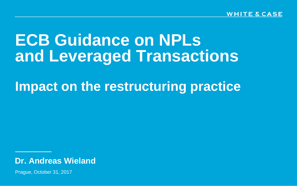# **ECB Guidance on NPLs and Leveraged Transactions**

# **Impact on the restructuring practice**

**Dr. Andreas Wieland**

Prague, October 31, 2017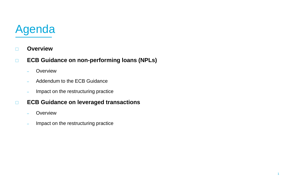# Agenda

- **Overview**
- **ECB Guidance on non-performing loans (NPLs)** 
	- **Overview**
	- Addendum to the ECB Guidance
	- Impact on the restructuring practice

### **ECB Guidance on leveraged transactions**

- **Overview**
- Impact on the restructuring practice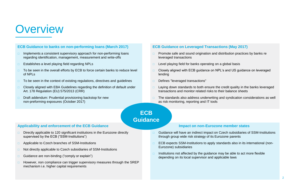## **Overview**

#### **ECB Guidance to banks on non-performing loans (March 2017)**

- Implements a consistent supervisory approach for non-performing loans regarding identification, management, measurement and write-offs
- $\Box$  Establishes a level playing field regarding NPLs
- To be seen in the overall efforts by ECB to force certain banks to reduce level of NPLs
- To be seen in the context of existing regulations, directives and guidelines
- $\Box$  Closely aligned with EBA Guidelines regarding the definition of default under Art. 178 Regulation (EU) 575/2013 (CRR)
- Draft addendum: Prudential provisioning backstop for new non-preforming exposures (October 2017)

#### **ECB Guidance on Leveraged Transactions (May 2017)**

- $\Box$  Promote safe and sound origination and distribution practices by banks re leveraged transactions
- $\Box$  Level playing field for banks operating on a global basis
- Closely aligned with ECB guidance on NPL's and US guidance on leveraged lending
- Defines "leveraged transactions"
- $\Box$  Laying down standards to both ensure the credit quality in the banks leveraged transactions and monitor related risks to their balance sheets
- $\Box$  The standards also address underwriting and syndication considerations as well as risk monitoring, reporting and IT tools

#### **ECB Guidance**

#### **Applicability and enforcement of the ECB Guidance**

- Directly applicable to 120 significant institutions in the Eurozone directly supervised by the ECB ("SSM-Institutions")
- □ Applicable to Czech branches of SSM-Institutions
- Not directly applicable to Czech subsidiaries of SSM-Institutions
- Guidance are non-binding ("comply or explain")
- However, non compliance can trigger supervisory measures through the SREP mechanism i.e. higher capital requirements

#### **Impact on non-Eurozone member states**

- Guidance will have an indirect impact on Czech subsidiaries of SSM-Institutions through group wide risk strategy of its Eurozone parents
- □ ECB expects SSM-Institutions to apply standards also in its international (non-Eurozone) subsidiaries
- Institutions not affected by the guidance may be able to act more flexible depending on its local supervisor and applicable laws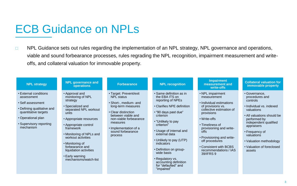### ECB Guidance on NPLs

□ NPL Guidance sets out rules regarding the implementation of an NPL strategy, NPL governance and operations, viable and sound forbearance processes, rules regrading the NPL recognition, impairment measurement and writeoffs, and collateral valuation for immovable property.

| <b>NPL strategy</b>                                                                                                                                                          | <b>NPL governance and</b><br>operations                                                                                                                                                                                                                                                                                               | <b>Forbearance</b>                                                                                                                                                                                                                     | <b>NPL recognition</b>                                                                                                                                                                                                                                                                                                                                                               | <b>Impairment</b><br>measurement and<br>write-offs                                                                                                                                                                                                                                                              | <b>Collateral valuation for</b><br>immovable property                                                                                                                                                                                                                        |
|------------------------------------------------------------------------------------------------------------------------------------------------------------------------------|---------------------------------------------------------------------------------------------------------------------------------------------------------------------------------------------------------------------------------------------------------------------------------------------------------------------------------------|----------------------------------------------------------------------------------------------------------------------------------------------------------------------------------------------------------------------------------------|--------------------------------------------------------------------------------------------------------------------------------------------------------------------------------------------------------------------------------------------------------------------------------------------------------------------------------------------------------------------------------------|-----------------------------------------------------------------------------------------------------------------------------------------------------------------------------------------------------------------------------------------------------------------------------------------------------------------|------------------------------------------------------------------------------------------------------------------------------------------------------------------------------------------------------------------------------------------------------------------------------|
| • External conditions<br>assessment<br>• Self assessment<br>• Defining qualitative and<br>quantitative targets<br>• Operational plan<br>• Supervisory reporting<br>mechanism | • Approval and<br>monitoring of NPL<br>strategy<br>• Specialized and<br>separated NPL workout<br>units<br>• Appropriate resources<br>• Appropriate control<br>framework<br>• Monitoring of NPLs and<br>workout activities<br>• Monitoring of<br>forbearance and<br>liquidation activities<br>• Early warning<br>mechanisms/watch-list | • Target: Prevent/exit<br><b>NPL</b> status<br>· Short-, medium- and<br>long-term measures<br>• Clear distinction<br>between viable and<br>non-viable forbearance<br>measures<br>• Implementation of a<br>sound forbearance<br>process | • Same definition as in<br>the EBA ITS on<br>reporting of NPEs<br>• Clarifies NPE definition<br>• "90 days past due"<br>criterion<br>• "Unlikely to pay<br>criterion"<br>• Usage of internal and<br>external data<br>• Unlikely to pay (UTP)<br>indicators<br>• Definition on group-<br>wide basis<br>• Regulatory vs.<br>accounting definition<br>for "defaulted" and<br>"impaired" | • NPL impairment<br>measurement<br>• Individual estimations<br>of provisions vs.<br>collective estimation of<br>provisions<br>• Write-offs<br>• Timeliness of<br>provisioning and write-<br>offs<br>• Provisioning and write-<br>off procedures<br>• Consistent with BCBS<br>recommendations / IAS<br>39/IFRS 9 | • Governance,<br>procedures and<br>controls<br>• Individual vs. indexed<br>valuations<br>• All valuations should be<br>performed by<br>independent qualified<br>appraisers<br>• Frequency of<br>valuations<br>• Valuation methodology<br>• Valuation of foreclosed<br>assets |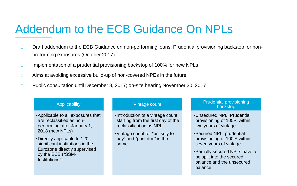## Addendum to the ECB Guidance On NPLs

- □ Draft addendum to the ECB Guidance on non-performing loans: Prudential provisioning backstop for nonpreforming exposures (October 2017)
- $\Box$  Implementation of a prudential provisioning backstop of 100% for new NPLs
- $\Box$  Aims at avoiding excessive build-up of non-covered NPEs in the future
- □ Public consultation until December 8, 2017; on-site hearing November 30, 2017

#### **Applicability**

- •Applicable to all exposures that are reclassified as nonperforming after January 1, 2018 (new NPLs)
- •Directly applicable to 120 significant institutions in the Eurozone directly supervised by the ECB ("SSM-Institutions")

#### Vintage count

- •Introduction of a vintage count starting from the first day of the reclassification as NPL
- •Vintage count for "unlikely to pay" and "past due" is the same

#### Prudential provisioning backstop

- •Unsecured NPL: Prudential provisioning of 100% within two years of vintage
- •Secured NPL: prudential provisioning of 100% within seven years of vintage
- •Partially secured NPLs have to be split into the secured balance and the unsecured balance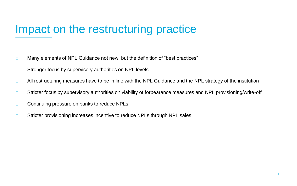# Impact on the restructuring practice

- $\Box$  Many elements of NPL Guidance not new, but the definition of "best practices"
- □ Stronger focus by supervisory authorities on NPL levels
- □ All restructuring measures have to be in line with the NPL Guidance and the NPL strategy of the institution
- □ Stricter focus by supervisory authorities on viability of forbearance measures and NPL provisioning/write-off
- □ Continuing pressure on banks to reduce NPLs
- □ Stricter provisioning increases incentive to reduce NPLs through NPL sales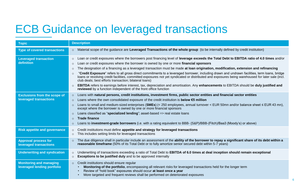# ECB Guidance on leveraged transactions

| <b>Topic</b>                                                  | <b>Description</b>                                                                                                                                                                                                                                                                                                                                                                                                                                                                                                                                                                                                                                                                                                                                                                                                                                                                                                                                                                                      |
|---------------------------------------------------------------|---------------------------------------------------------------------------------------------------------------------------------------------------------------------------------------------------------------------------------------------------------------------------------------------------------------------------------------------------------------------------------------------------------------------------------------------------------------------------------------------------------------------------------------------------------------------------------------------------------------------------------------------------------------------------------------------------------------------------------------------------------------------------------------------------------------------------------------------------------------------------------------------------------------------------------------------------------------------------------------------------------|
| <b>Type of covered transactions</b>                           | Material scope of the guidance are Leveraged Transactions of the whole group (to be internally defined by credit institution)<br>$\circ$                                                                                                                                                                                                                                                                                                                                                                                                                                                                                                                                                                                                                                                                                                                                                                                                                                                                |
| <b>Leveraged transaction</b><br>definition                    | Loan or credit exposures where the borrowers post financing level of leverage exceeds the Total Debt to EBITDA ratio of 4.0 times and/or<br>$\circ$<br>Loan or credit exposures where the borrower is owned by one or more financial sponsors<br>$\circ$<br>The designation of a financing as a leveraged transaction must be made at loan origination, modification, extension and refinancing<br>$\circ$<br>"Credit Exposure" refers to all gross direct commitments to a leveraged borrower, including drawn and undrawn facilities, term loans, bridge<br>$\circ$<br>loans or revolving credit facilities, committed exposures not yet syndicated or distributed and exposures being warehoused for later sale (incl.<br>club deals; best efforts transaction; bilateral loans)<br><b>EBITDA</b> refers to earnings before interest, tax, depreciation and amortisation. Any enhancements to EBITDA should be duly justified and<br>reviewed by a function independent of the front office function |
| <b>Exclusions from the scope of</b><br>leveraged transactions | Loans with natural persons, credit institutions, investment firms, public sector entities and financial sector entities<br>$\circ$<br>Loans where the own consolidated exposure of the credit institution is <b>below €5 million</b><br>$\circ$<br>Loans to small and medium-sized enterprises (SMEs) (< 250 employees, annual turnover < EUR 50mn and/or balance sheet $\leq$ EUR 43 mn),<br>$\circ$<br>except where the borrower is owned by one or more financial sponsors<br>Loans classified as "specialized lending"; asset-based => real estate loans<br>$\circ$<br><b>Trade finance</b><br>$\circ$<br>Loans to <b>investment-grade borrowers</b> (i.e. with a rating equivalent to BBB- (S&P)/BBB- (Fitch)/Baa3 (Moody's) or above)<br>$\circ$                                                                                                                                                                                                                                                  |
| <b>Risk appetite and governance</b>                           | Credit institutions must define appetite and strategy for leveraged transactions<br>$\circ$<br>This includes setting limits for leveraged transactions<br>$\circ$                                                                                                                                                                                                                                                                                                                                                                                                                                                                                                                                                                                                                                                                                                                                                                                                                                       |
| <b>Approval process for</b><br>leveraged transactions         | The due diligence shall in particular include an assessment of the ability of the borrower to repay a significant share of its debt within a<br>$\circ$<br>reasonable timeframe (50% of its Total Debt or to fully amortize senior secured debt within 5-7 years)                                                                                                                                                                                                                                                                                                                                                                                                                                                                                                                                                                                                                                                                                                                                       |
| <b>Underwriting and syndication</b>                           | Underwriting of transactions exceeding a ratio of Total Debt to EBITDA of 6.0 times at deal inception should remain exceptional<br>$\circ$<br>Exceptions to be justified duly and to be approved internally<br>$\circ$                                                                                                                                                                                                                                                                                                                                                                                                                                                                                                                                                                                                                                                                                                                                                                                  |
| <b>Monitoring and managing</b><br>leveraged lending portfolio | Credit institutions should ensure regular<br>$\circ$<br>Monitoring of the portfolio, encompassing all relevant risks for leveraged transactions held for the longer term<br>$\bullet$<br>Review of "hold book" exposures should occur at least once a year<br>More targeted and frequent reviews shall be performed on deteriorated exposures<br>$\bullet$                                                                                                                                                                                                                                                                                                                                                                                                                                                                                                                                                                                                                                              |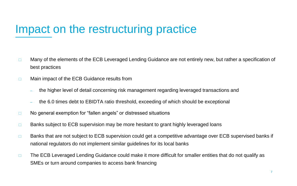# Impact on the restructuring practice

- □ Many of the elements of the ECB Leveraged Lending Guidance are not entirely new, but rather a specification of best practices
- □ Main impact of the ECB Guidance results from
	- the higher level of detail concerning risk management regarding leveraged transactions and
	- the 6.0 times debt to EBIDTA ratio threshold, exceeding of which should be exceptional
- □ No general exemption for "fallen angels" or distressed situations
- □ Banks subject to ECB supervision may be more hesitant to grant highly leveraged loans
- □ Banks that are not subject to ECB supervision could get a competitive advantage over ECB supervised banks if national regulators do not implement similar guidelines for its local banks
- $\Box$  The ECB Leveraged Lending Guidance could make it more difficult for smaller entities that do not qualify as SMEs or turn around companies to access bank financing